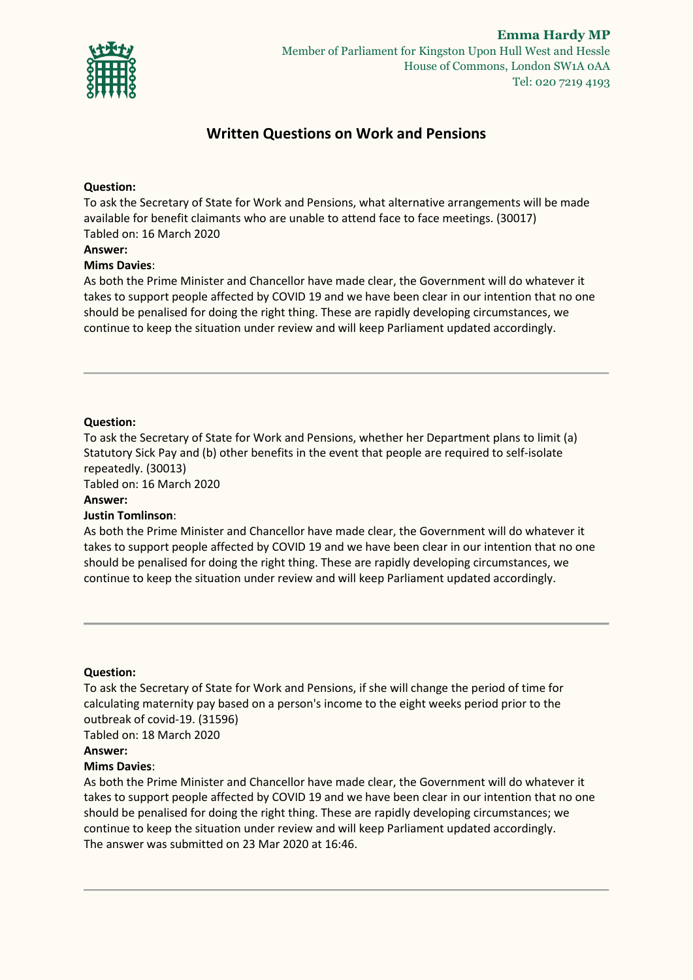

# **Written Questions on Work and Pensions**

### **Question:**

To ask the Secretary of State for Work and Pensions, what alternative arrangements will be made available for benefit claimants who are unable to attend face to face meetings. (30017) Tabled on: 16 March 2020

#### **Answer:**

#### **Mims Davies**:

As both the Prime Minister and Chancellor have made clear, the Government will do whatever it takes to support people affected by COVID 19 and we have been clear in our intention that no one should be penalised for doing the right thing. These are rapidly developing circumstances, we continue to keep the situation under review and will keep Parliament updated accordingly.

### **Question:**

To ask the Secretary of State for Work and Pensions, whether her Department plans to limit (a) Statutory Sick Pay and (b) other benefits in the event that people are required to self-isolate repeatedly. (30013)

Tabled on: 16 March 2020

### **Answer:**

### **Justin Tomlinson**:

As both the Prime Minister and Chancellor have made clear, the Government will do whatever it takes to support people affected by COVID 19 and we have been clear in our intention that no one should be penalised for doing the right thing. These are rapidly developing circumstances, we continue to keep the situation under review and will keep Parliament updated accordingly.

#### **Question:**

To ask the Secretary of State for Work and Pensions, if she will change the period of time for calculating maternity pay based on a person's income to the eight weeks period prior to the outbreak of covid-19. (31596) Tabled on: 18 March 2020

# **Answer:**

#### **Mims Davies**:

As both the Prime Minister and Chancellor have made clear, the Government will do whatever it takes to support people affected by COVID 19 and we have been clear in our intention that no one should be penalised for doing the right thing. These are rapidly developing circumstances; we continue to keep the situation under review and will keep Parliament updated accordingly. The answer was submitted on 23 Mar 2020 at 16:46.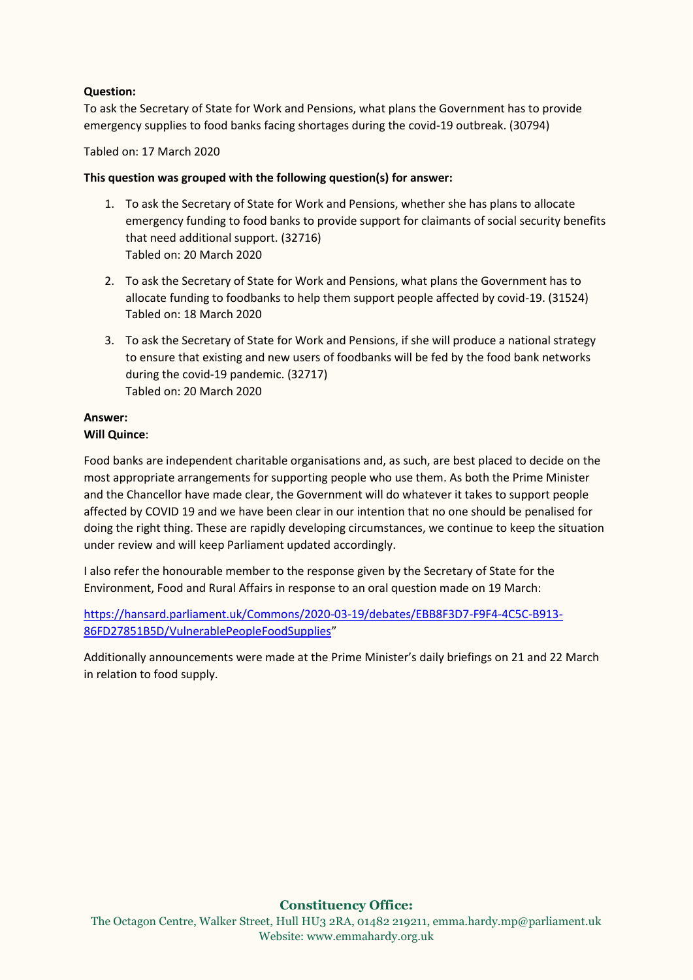# **Question:**

To ask the Secretary of State for Work and Pensions, what plans the Government has to provide emergency supplies to food banks facing shortages during the covid-19 outbreak. (30794)

Tabled on: 17 March 2020

# **This question was grouped with the following question(s) for answer:**

- 1. To ask the Secretary of State for Work and Pensions, whether she has plans to allocate emergency funding to food banks to provide support for claimants of social security benefits that need additional support. (32716) Tabled on: 20 March 2020
- 2. To ask the Secretary of State for Work and Pensions, what plans the Government has to allocate funding to foodbanks to help them support people affected by covid-19. (31524) Tabled on: 18 March 2020
- 3. To ask the Secretary of State for Work and Pensions, if she will produce a national strategy to ensure that existing and new users of foodbanks will be fed by the food bank networks during the covid-19 pandemic. (32717) Tabled on: 20 March 2020

## **Answer: Will Quince**:

Food banks are independent charitable organisations and, as such, are best placed to decide on the most appropriate arrangements for supporting people who use them. As both the Prime Minister and the Chancellor have made clear, the Government will do whatever it takes to support people affected by COVID 19 and we have been clear in our intention that no one should be penalised for doing the right thing. These are rapidly developing circumstances, we continue to keep the situation under review and will keep Parliament updated accordingly.

I also refer the honourable member to the response given by the Secretary of State for the Environment, Food and Rural Affairs in response to an oral question made on 19 March:

[https://hansard.parliament.uk/Commons/2020-03-19/debates/EBB8F3D7-F9F4-4C5C-B913-](https://hansard.parliament.uk/Commons/2020-03-19/debates/EBB8F3D7-F9F4-4C5C-B913-86FD27851B5D/VulnerablePeopleFoodSupplies) [86FD27851B5D/VulnerablePeopleFoodSupplies](https://hansard.parliament.uk/Commons/2020-03-19/debates/EBB8F3D7-F9F4-4C5C-B913-86FD27851B5D/VulnerablePeopleFoodSupplies)"

Additionally announcements were made at the Prime Minister's daily briefings on 21 and 22 March in relation to food supply.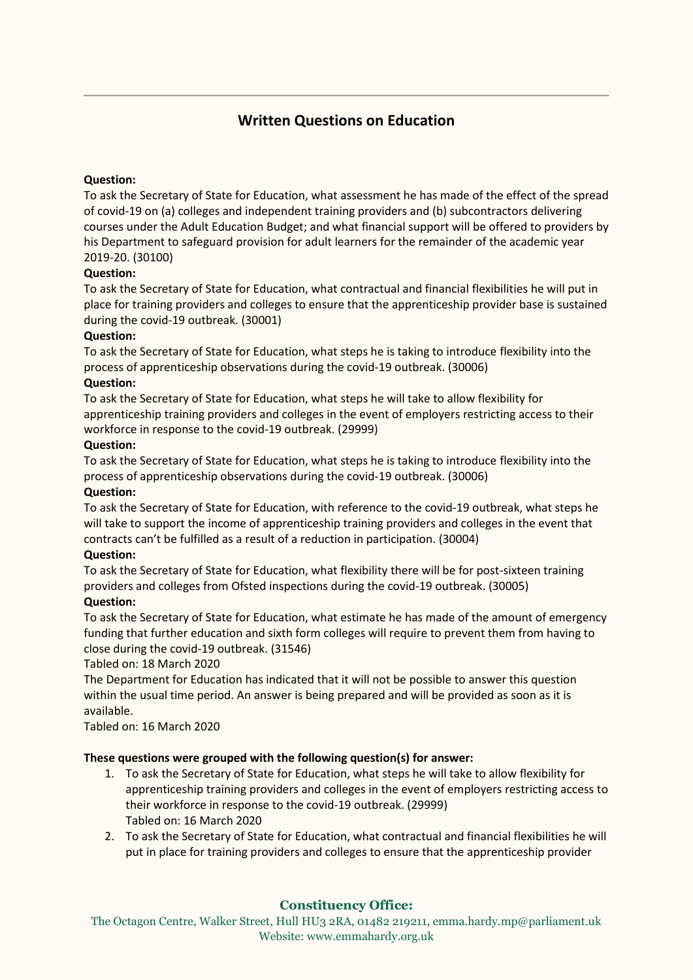# **Written Questions on Education**

# **Question:**

To ask the Secretary of State for Education, what assessment he has made of the effect of the spread of covid-19 on (a) colleges and independent training providers and (b) subcontractors delivering courses under the Adult Education Budget; and what financial support will be offered to providers by his Department to safeguard provision for adult learners for the remainder of the academic year 2019-20. (30100)

# **Question:**

To ask the Secretary of State for Education, what contractual and financial flexibilities he will put in place for training providers and colleges to ensure that the apprenticeship provider base is sustained during the covid-19 outbreak. (30001)

# **Question:**

To ask the Secretary of State for Education, what steps he is taking to introduce flexibility into the process of apprenticeship observations during the covid-19 outbreak. (30006)

# **Question:**

To ask the Secretary of State for Education, what steps he will take to allow flexibility for apprenticeship training providers and colleges in the event of employers restricting access to their workforce in response to the covid-19 outbreak. (29999)

# **Question:**

To ask the Secretary of State for Education, what steps he is taking to introduce flexibility into the process of apprenticeship observations during the covid-19 outbreak. (30006)

### **Question:**

To ask the Secretary of State for Education, with reference to the covid-19 outbreak, what steps he will take to support the income of apprenticeship training providers and colleges in the event that contracts can't be fulfilled as a result of a reduction in participation. (30004)

### **Question:**

To ask the Secretary of State for Education, what flexibility there will be for post-sixteen training providers and colleges from Ofsted inspections during the covid-19 outbreak. (30005)

### **Question:**

To ask the Secretary of State for Education, what estimate he has made of the amount of emergency funding that further education and sixth form colleges will require to prevent them from having to close during the covid-19 outbreak. (31546)

### Tabled on: 18 March 2020

The Department for Education has indicated that it will not be possible to answer this question within the usual time period. An answer is being prepared and will be provided as soon as it is available.

Tabled on: 16 March 2020

# **These questions were grouped with the following question(s) for answer:**

- 1. To ask the Secretary of State for Education, what steps he will take to allow flexibility for apprenticeship training providers and colleges in the event of employers restricting access to their workforce in response to the covid-19 outbreak. (29999) Tabled on: 16 March 2020
- 2. To ask the Secretary of State for Education, what contractual and financial flexibilities he will put in place for training providers and colleges to ensure that the apprenticeship provider

# **Constituency Office:**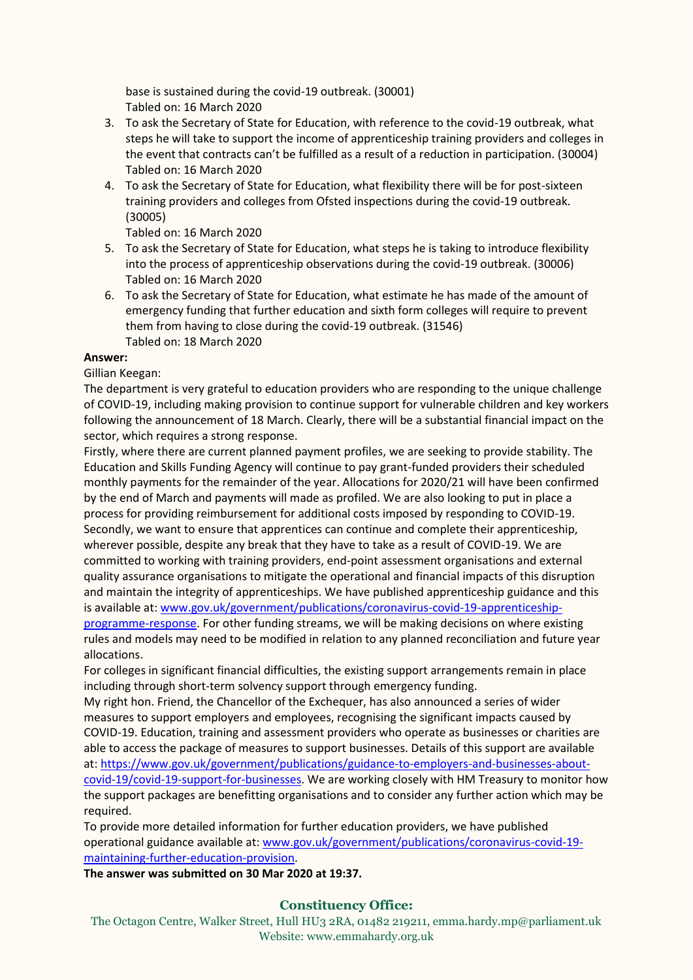base is sustained during the covid-19 outbreak. (30001) Tabled on: 16 March 2020

- 3. To ask the Secretary of State for Education, with reference to the covid-19 outbreak, what steps he will take to support the income of apprenticeship training providers and colleges in the event that contracts can't be fulfilled as a result of a reduction in participation. (30004) Tabled on: 16 March 2020
- 4. To ask the Secretary of State for Education, what flexibility there will be for post-sixteen training providers and colleges from Ofsted inspections during the covid-19 outbreak. (30005)

Tabled on: 16 March 2020

- 5. To ask the Secretary of State for Education, what steps he is taking to introduce flexibility into the process of apprenticeship observations during the covid-19 outbreak. (30006) Tabled on: 16 March 2020
- 6. To ask the Secretary of State for Education, what estimate he has made of the amount of emergency funding that further education and sixth form colleges will require to prevent them from having to close during the covid-19 outbreak. (31546) Tabled on: 18 March 2020

### **Answer:**

Gillian Keegan:

The department is very grateful to education providers who are responding to the unique challenge of COVID-19, including making provision to continue support for vulnerable children and key workers following the announcement of 18 March. Clearly, there will be a substantial financial impact on the sector, which requires a strong response.

Firstly, where there are current planned payment profiles, we are seeking to provide stability. The Education and Skills Funding Agency will continue to pay grant-funded providers their scheduled monthly payments for the remainder of the year. Allocations for 2020/21 will have been confirmed by the end of March and payments will made as profiled. We are also looking to put in place a process for providing reimbursement for additional costs imposed by responding to COVID-19. Secondly, we want to ensure that apprentices can continue and complete their apprenticeship, wherever possible, despite any break that they have to take as a result of COVID-19. We are committed to working with training providers, end-point assessment organisations and external quality assurance organisations to mitigate the operational and financial impacts of this disruption and maintain the integrity of apprenticeships. We have published apprenticeship guidance and this is available at: [www.gov.uk/government/publications/coronavirus-covid-19-apprenticeship](http://www.gov.uk/government/publications/coronavirus-covid-19-apprenticeship-programme-response)[programme-response.](http://www.gov.uk/government/publications/coronavirus-covid-19-apprenticeship-programme-response) For other funding streams, we will be making decisions on where existing rules and models may need to be modified in relation to any planned reconciliation and future year allocations.

For colleges in significant financial difficulties, the existing support arrangements remain in place including through short-term solvency support through emergency funding.

My right hon. Friend, the Chancellor of the Exchequer, has also announced a series of wider measures to support employers and employees, recognising the significant impacts caused by COVID-19. Education, training and assessment providers who operate as businesses or charities are able to access the package of measures to support businesses. Details of this support are available at: [https://www.gov.uk/government/publications/guidance-to-employers-and-businesses-about](https://www.gov.uk/government/publications/guidance-to-employers-and-businesses-about-covid-19/covid-19-support-for-businesses)[covid-19/covid-19-support-for-businesses.](https://www.gov.uk/government/publications/guidance-to-employers-and-businesses-about-covid-19/covid-19-support-for-businesses) We are working closely with HM Treasury to monitor how the support packages are benefitting organisations and to consider any further action which may be required.

To provide more detailed information for further education providers, we have published operational guidance available at[: www.gov.uk/government/publications/coronavirus-covid-19](http://www.gov.uk/government/publications/coronavirus-covid-19-maintaining-further-education-provision) [maintaining-further-education-provision.](http://www.gov.uk/government/publications/coronavirus-covid-19-maintaining-further-education-provision)

**The answer was submitted on 30 Mar 2020 at 19:37.**

# **Constituency Office:**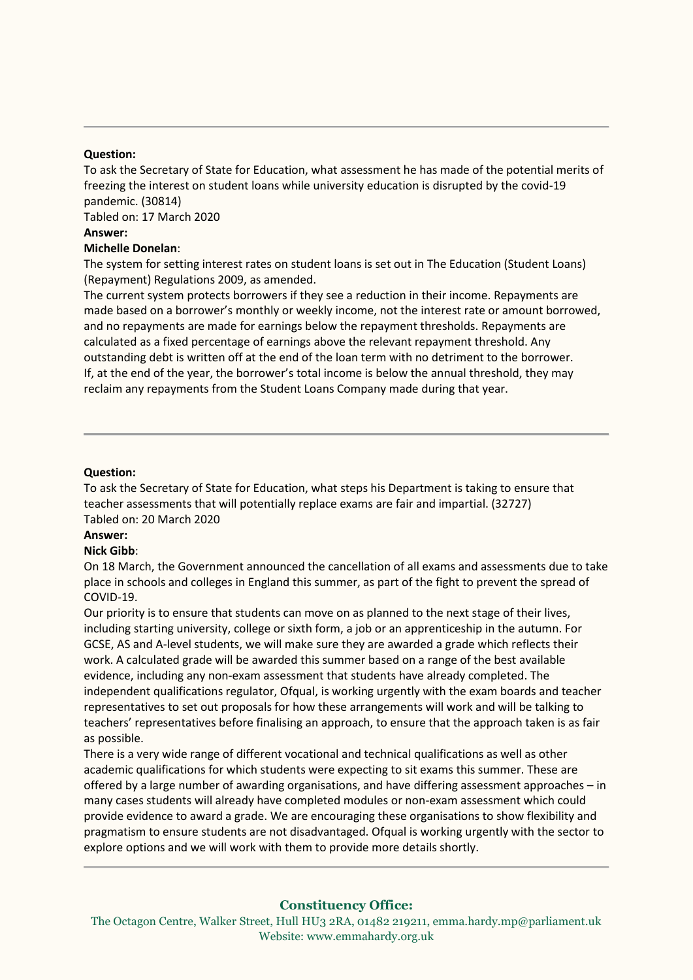#### **Question:**

To ask the Secretary of State for Education, what assessment he has made of the potential merits of freezing the interest on student loans while university education is disrupted by the covid-19 pandemic. (30814)

Tabled on: 17 March 2020

### **Answer:**

#### **Michelle Donelan**:

The system for setting interest rates on student loans is set out in The Education (Student Loans) (Repayment) Regulations 2009, as amended.

The current system protects borrowers if they see a reduction in their income. Repayments are made based on a borrower's monthly or weekly income, not the interest rate or amount borrowed, and no repayments are made for earnings below the repayment thresholds. Repayments are calculated as a fixed percentage of earnings above the relevant repayment threshold. Any outstanding debt is written off at the end of the loan term with no detriment to the borrower. If, at the end of the year, the borrower's total income is below the annual threshold, they may reclaim any repayments from the Student Loans Company made during that year.

#### **Question:**

To ask the Secretary of State for Education, what steps his Department is taking to ensure that teacher assessments that will potentially replace exams are fair and impartial. (32727) Tabled on: 20 March 2020

### **Answer:**

#### **Nick Gibb**:

On 18 March, the Government announced the cancellation of all exams and assessments due to take place in schools and colleges in England this summer, as part of the fight to prevent the spread of COVID-19.

Our priority is to ensure that students can move on as planned to the next stage of their lives, including starting university, college or sixth form, a job or an apprenticeship in the autumn. For GCSE, AS and A-level students, we will make sure they are awarded a grade which reflects their work. A calculated grade will be awarded this summer based on a range of the best available evidence, including any non-exam assessment that students have already completed. The independent qualifications regulator, Ofqual, is working urgently with the exam boards and teacher representatives to set out proposals for how these arrangements will work and will be talking to teachers' representatives before finalising an approach, to ensure that the approach taken is as fair as possible.

There is a very wide range of different vocational and technical qualifications as well as other academic qualifications for which students were expecting to sit exams this summer. These are offered by a large number of awarding organisations, and have differing assessment approaches – in many cases students will already have completed modules or non-exam assessment which could provide evidence to award a grade. We are encouraging these organisations to show flexibility and pragmatism to ensure students are not disadvantaged. Ofqual is working urgently with the sector to explore options and we will work with them to provide more details shortly.

### **Constituency Office:**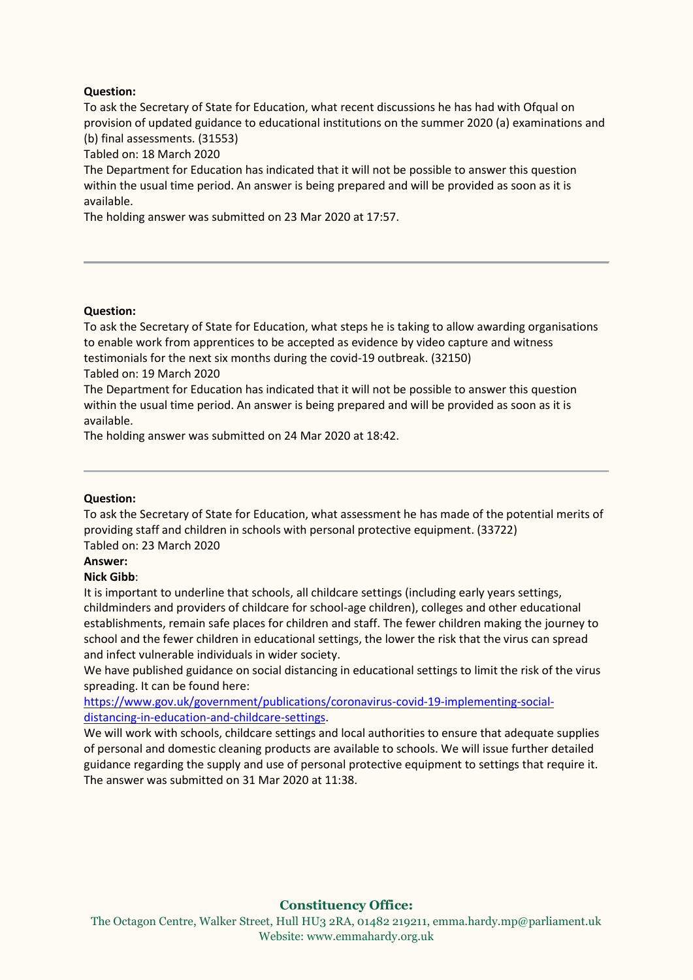# **Question:**

To ask the Secretary of State for Education, what recent discussions he has had with Ofqual on provision of updated guidance to educational institutions on the summer 2020 (a) examinations and (b) final assessments. (31553)

Tabled on: 18 March 2020

The Department for Education has indicated that it will not be possible to answer this question within the usual time period. An answer is being prepared and will be provided as soon as it is available.

The holding answer was submitted on 23 Mar 2020 at 17:57.

#### **Question:**

To ask the Secretary of State for Education, what steps he is taking to allow awarding organisations to enable work from apprentices to be accepted as evidence by video capture and witness testimonials for the next six months during the covid-19 outbreak. (32150)

Tabled on: 19 March 2020

The Department for Education has indicated that it will not be possible to answer this question within the usual time period. An answer is being prepared and will be provided as soon as it is available.

The holding answer was submitted on 24 Mar 2020 at 18:42.

### **Question:**

To ask the Secretary of State for Education, what assessment he has made of the potential merits of providing staff and children in schools with personal protective equipment. (33722) Tabled on: 23 March 2020

**Answer:**

#### **Nick Gibb**:

It is important to underline that schools, all childcare settings (including early years settings, childminders and providers of childcare for school-age children), colleges and other educational establishments, remain safe places for children and staff. The fewer children making the journey to school and the fewer children in educational settings, the lower the risk that the virus can spread and infect vulnerable individuals in wider society.

We have published guidance on social distancing in educational settings to limit the risk of the virus spreading. It can be found here:

[https://www.gov.uk/government/publications/coronavirus-covid-19-implementing-social](https://www.gov.uk/government/publications/coronavirus-covid-19-implementing-social-distancing-in-education-and-childcare-settings)[distancing-in-education-and-childcare-settings.](https://www.gov.uk/government/publications/coronavirus-covid-19-implementing-social-distancing-in-education-and-childcare-settings)

We will work with schools, childcare settings and local authorities to ensure that adequate supplies of personal and domestic cleaning products are available to schools. We will issue further detailed guidance regarding the supply and use of personal protective equipment to settings that require it. The answer was submitted on 31 Mar 2020 at 11:38.

# **Constituency Office:**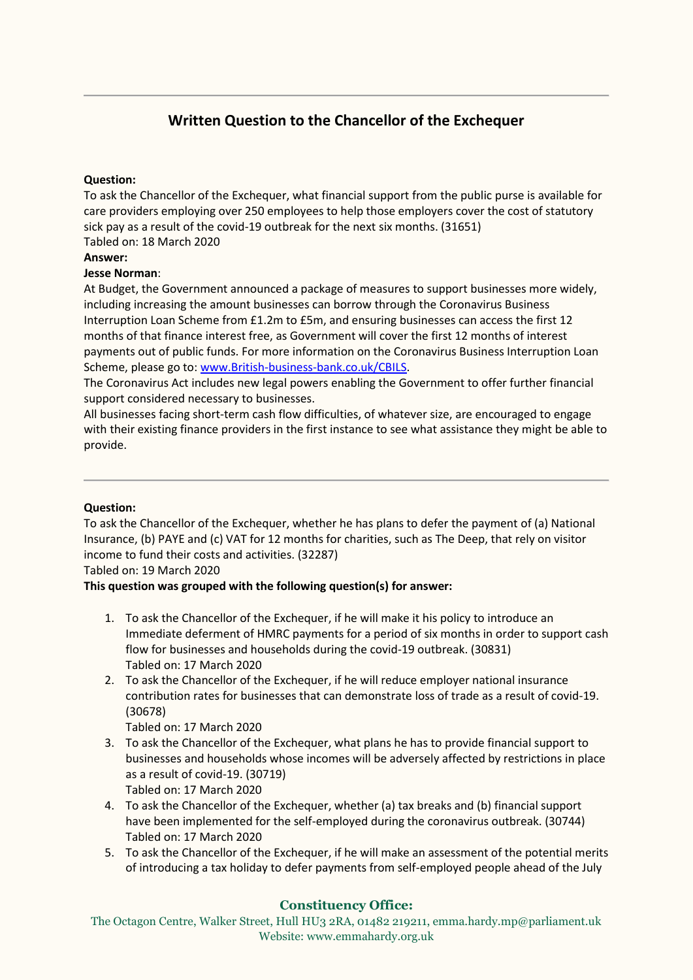# **Written Question to the Chancellor of the Exchequer**

# **Question:**

To ask the Chancellor of the Exchequer, what financial support from the public purse is available for care providers employing over 250 employees to help those employers cover the cost of statutory sick pay as a result of the covid-19 outbreak for the next six months. (31651) Tabled on: 18 March 2020

### **Answer:**

# **Jesse Norman**:

At Budget, the Government announced a package of measures to support businesses more widely, including increasing the amount businesses can borrow through the Coronavirus Business Interruption Loan Scheme from £1.2m to £5m, and ensuring businesses can access the first 12 months of that finance interest free, as Government will cover the first 12 months of interest payments out of public funds. For more information on the Coronavirus Business Interruption Loan Scheme, please go to: [www.British-business-bank.co.uk/CBILS.](http://www.british-business-bank.co.uk/CBILS)

The Coronavirus Act includes new legal powers enabling the Government to offer further financial support considered necessary to businesses.

All businesses facing short-term cash flow difficulties, of whatever size, are encouraged to engage with their existing finance providers in the first instance to see what assistance they might be able to provide.

### **Question:**

To ask the Chancellor of the Exchequer, whether he has plans to defer the payment of (a) National Insurance, (b) PAYE and (c) VAT for 12 months for charities, such as The Deep, that rely on visitor income to fund their costs and activities. (32287)

Tabled on: 19 March 2020

### **This question was grouped with the following question(s) for answer:**

- 1. To ask the Chancellor of the Exchequer, if he will make it his policy to introduce an Immediate deferment of HMRC payments for a period of six months in order to support cash flow for businesses and households during the covid-19 outbreak. (30831) Tabled on: 17 March 2020
- 2. To ask the Chancellor of the Exchequer, if he will reduce employer national insurance contribution rates for businesses that can demonstrate loss of trade as a result of covid-19. (30678)

Tabled on: 17 March 2020

- 3. To ask the Chancellor of the Exchequer, what plans he has to provide financial support to businesses and households whose incomes will be adversely affected by restrictions in place as a result of covid-19. (30719) Tabled on: 17 March 2020
- 4. To ask the Chancellor of the Exchequer, whether (a) tax breaks and (b) financial support have been implemented for the self-employed during the coronavirus outbreak. (30744) Tabled on: 17 March 2020
- 5. To ask the Chancellor of the Exchequer, if he will make an assessment of the potential merits of introducing a tax holiday to defer payments from self-employed people ahead of the July

# **Constituency Office:**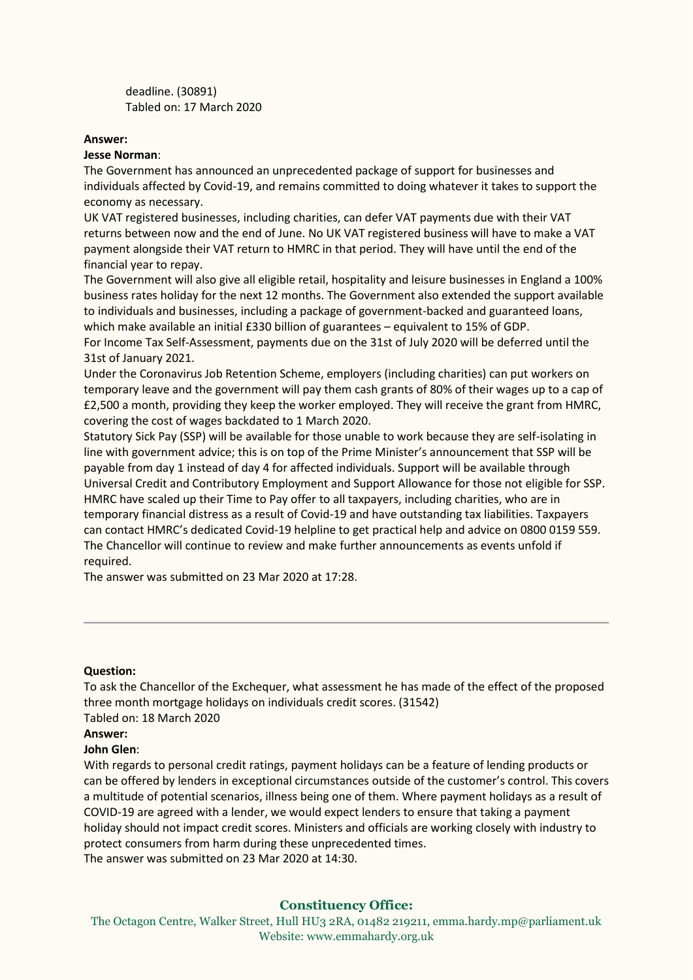deadline. (30891) Tabled on: 17 March 2020

#### **Answer:**

#### **Jesse Norman**:

The Government has announced an unprecedented package of support for businesses and individuals affected by Covid-19, and remains committed to doing whatever it takes to support the economy as necessary.

UK VAT registered businesses, including charities, can defer VAT payments due with their VAT returns between now and the end of June. No UK VAT registered business will have to make a VAT payment alongside their VAT return to HMRC in that period. They will have until the end of the financial year to repay.

The Government will also give all eligible retail, hospitality and leisure businesses in England a 100% business rates holiday for the next 12 months. The Government also extended the support available to individuals and businesses, including a package of government-backed and guaranteed loans, which make available an initial £330 billion of guarantees – equivalent to 15% of GDP.

For Income Tax Self-Assessment, payments due on the 31st of July 2020 will be deferred until the 31st of January 2021.

Under the Coronavirus Job Retention Scheme, employers (including charities) can put workers on temporary leave and the government will pay them cash grants of 80% of their wages up to a cap of £2,500 a month, providing they keep the worker employed. They will receive the grant from HMRC, covering the cost of wages backdated to 1 March 2020.

Statutory Sick Pay (SSP) will be available for those unable to work because they are self-isolating in line with government advice; this is on top of the Prime Minister's announcement that SSP will be payable from day 1 instead of day 4 for affected individuals. Support will be available through Universal Credit and Contributory Employment and Support Allowance for those not eligible for SSP. HMRC have scaled up their Time to Pay offer to all taxpayers, including charities, who are in temporary financial distress as a result of Covid-19 and have outstanding tax liabilities. Taxpayers can contact HMRC's dedicated Covid-19 helpline to get practical help and advice on 0800 0159 559. The Chancellor will continue to review and make further announcements as events unfold if required.

The answer was submitted on 23 Mar 2020 at 17:28.

#### **Question:**

To ask the Chancellor of the Exchequer, what assessment he has made of the effect of the proposed three month mortgage holidays on individuals credit scores. (31542) Tabled on: 18 March 2020

### **Answer:**

### **John Glen**:

With regards to personal credit ratings, payment holidays can be a feature of lending products or can be offered by lenders in exceptional circumstances outside of the customer's control. This covers a multitude of potential scenarios, illness being one of them. Where payment holidays as a result of COVID-19 are agreed with a lender, we would expect lenders to ensure that taking a payment holiday should not impact credit scores. Ministers and officials are working closely with industry to protect consumers from harm during these unprecedented times. The answer was submitted on 23 Mar 2020 at 14:30.

**Constituency Office:**